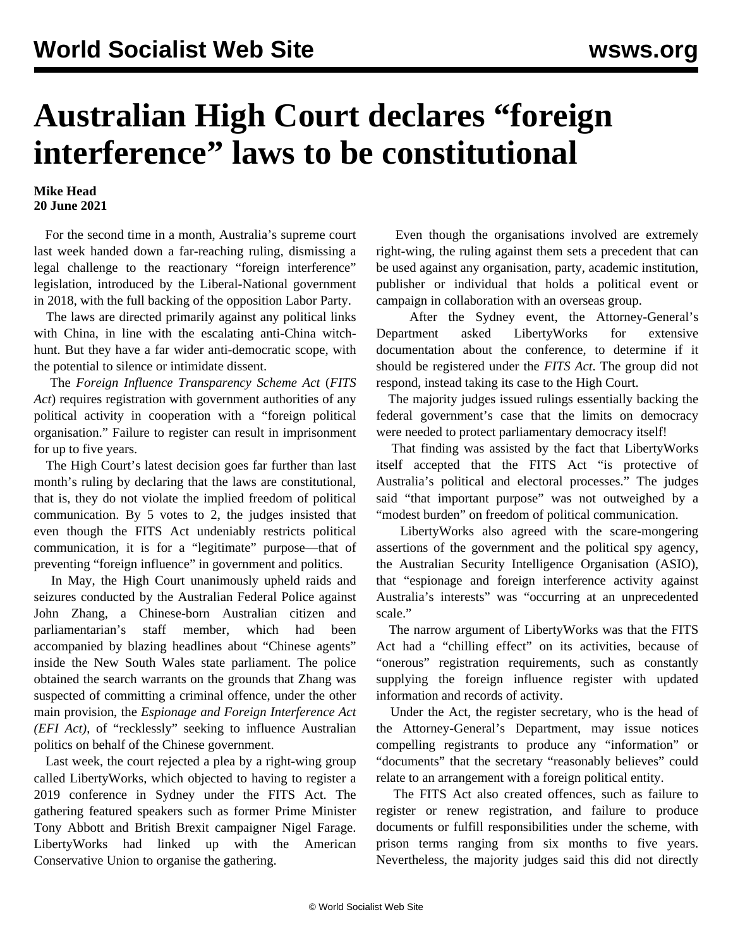## **Australian High Court declares "foreign interference" laws to be constitutional**

## **Mike Head 20 June 2021**

 For the second time in a month, Australia's supreme court last week handed down a far-reaching ruling, dismissing a legal challenge to the reactionary "foreign interference" legislation, introduced by the Liberal-National government in 2018, with the full backing of the opposition Labor Party.

 The laws are directed primarily against any political links with China, in line with the escalating anti-China witchhunt. But they have a far wider anti-democratic scope, with the potential to silence or intimidate dissent.

 The *Foreign Influence Transparency Scheme Act* (*FITS Act*) requires registration with government authorities of any political activity in cooperation with a "foreign political organisation." Failure to register can result in imprisonment for up to five years.

 The High Court's latest decision goes far further than last month's ruling by declaring that the laws are constitutional, that is, they do not violate the implied freedom of political communication. By 5 votes to 2, the judges insisted that even though the FITS Act undeniably restricts political communication, it is for a "legitimate" purpose—that of preventing "foreign influence" in government and politics.

 In May, the High Court unanimously [upheld](/en/articles/2021/05/18/fore-m18.html) raids and seizures conducted by the Australian Federal Police against John Zhang, a Chinese-born Australian citizen and parliamentarian's staff member, which had been accompanied by blazing headlines about "Chinese agents" inside the New South Wales state parliament. The police obtained the search warrants on the grounds that Zhang was suspected of committing a criminal offence, under the other main provision, the *Espionage and Foreign Interference Act (EFI Act)*, of "recklessly" seeking to influence Australian politics on behalf of the Chinese government.

 Last week, the court rejected a plea by a right-wing group called LibertyWorks, which objected to having to register a 2019 conference in Sydney under the FITS Act. The gathering featured speakers such as former Prime Minister Tony Abbott and British Brexit campaigner Nigel Farage. LibertyWorks had linked up with the American Conservative Union to organise the gathering.

 Even though the organisations involved are extremely right-wing, the ruling against them sets a precedent that can be used against any organisation, party, academic institution, publisher or individual that holds a political event or campaign in collaboration with an overseas group.

 After the Sydney event, the Attorney-General's Department asked LibertyWorks for extensive documentation about the conference, to determine if it should be registered under the *FITS Act*. The group did not respond, instead taking its case to the High Court.

 The majority judges issued rulings essentially backing the federal government's case that the limits on democracy were needed to protect parliamentary democracy itself!

 That finding was assisted by the fact that LibertyWorks itself accepted that the FITS Act "is protective of Australia's political and electoral processes." The judges said "that important purpose" was not outweighed by a "modest burden" on freedom of political communication.

 LibertyWorks also agreed with the scare-mongering assertions of the government and the political spy agency, the Australian Security Intelligence Organisation (ASIO), that "espionage and foreign interference activity against Australia's interests" was "occurring at an unprecedented scale."

 The narrow argument of LibertyWorks was that the FITS Act had a "chilling effect" on its activities, because of "onerous" registration requirements, such as constantly supplying the foreign influence register with updated information and records of activity.

 Under the Act, the register secretary, who is the head of the Attorney-General's Department, may issue notices compelling registrants to produce any "information" or "documents" that the secretary "reasonably believes" could relate to an arrangement with a foreign political entity.

 The FITS Act also created offences, such as failure to register or renew registration, and failure to produce documents or fulfill responsibilities under the scheme, with prison terms ranging from six months to five years. Nevertheless, the majority judges said this did not directly